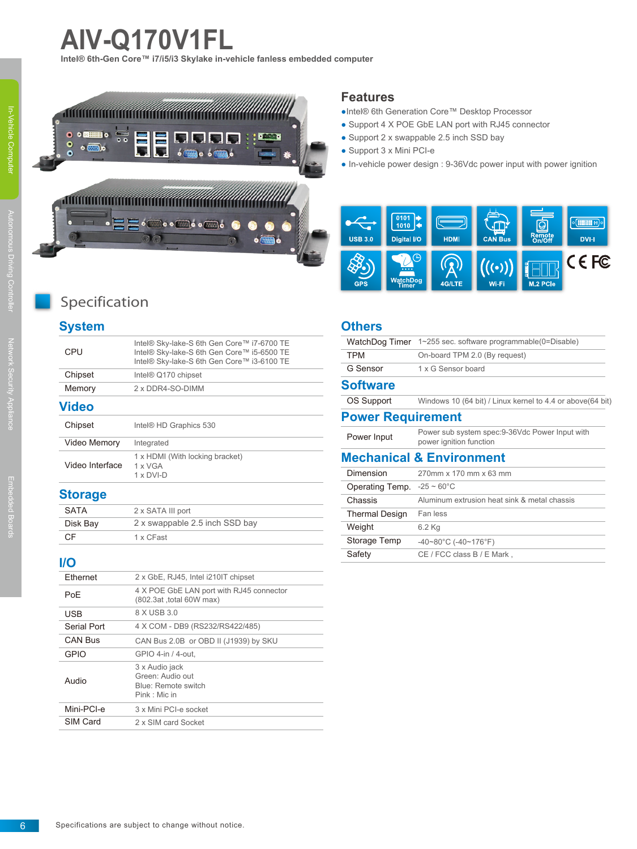# **AIV-Q170V1FL**

**Intel® 6th-Gen Core™ i7/i5/i3 Skylake in-vehicle fanless embedded computer**



#### **Features**

- ●Intel® 6th Generation Core™ Desktop Processor
- Support 4 X POE GbE LAN port with RJ45 connector
- Support 2 x swappable 2.5 inch SSD bay
- Support 3 x Mini PCI-e
- In-vehicle power design : 9-36Vdc power input with power ignition



# Specification

# **System**

| Video Interface | $1 \times DVI$ -D                                                                                                                      |  |
|-----------------|----------------------------------------------------------------------------------------------------------------------------------------|--|
|                 | 1 x HDMI (With locking bracket)<br>1 x VGA                                                                                             |  |
| Video Memory    | Integrated                                                                                                                             |  |
| Chipset         | Intel <sup>®</sup> HD Graphics 530                                                                                                     |  |
| <b>Video</b>    |                                                                                                                                        |  |
| Memory          | 2 x DDR4-SO-DIMM                                                                                                                       |  |
| Chipset         | Intel <sup>®</sup> Q170 chipset                                                                                                        |  |
| CPU             | Intel® Sky-lake-S 6th Gen Core™ i7-6700 TE<br>Intel® Sky-lake-S 6th Gen Core™ i5-6500 TE<br>Intel® Sky-lake-S 6th Gen Core™ i3-6100 TE |  |

#### **Storage**

| SATA     | 2 x SATA III port              |
|----------|--------------------------------|
| Disk Bay | 2 x swappable 2.5 inch SSD bay |
| C.F      | 1 x CFast                      |

### **I/O**

| Ethernet    | 2 x GbE, RJ45, Intel i210IT chipset                                        |  |
|-------------|----------------------------------------------------------------------------|--|
| PoF         | 4 X POE GbE LAN port with RJ45 connector<br>(802.3at ,total 60W max)       |  |
| <b>USB</b>  | 8 X USB 3.0                                                                |  |
| Serial Port | 4 X COM - DB9 (RS232/RS422/485)                                            |  |
| CAN Bus     | CAN Bus 2.0B or OBD II (J1939) by SKU                                      |  |
| <b>GPIO</b> | GPIO 4-in / 4-out.                                                         |  |
| Audio       | 3 x Audio jack<br>Green: Audio out<br>Blue: Remote switch<br>Pink · Mic in |  |
| Mini-PCI-e  | 3 x Mini PCI-e socket                                                      |  |
| SIM Card    | 2 x SIM card Socket                                                        |  |

#### **Others**

| WatchDog Timer                          | 1~255 sec. software programmable(0=Disable)                                |
|-----------------------------------------|----------------------------------------------------------------------------|
| <b>TPM</b>                              | On-board TPM 2.0 (By request)                                              |
| G Sensor                                | 1 x G Sensor board                                                         |
| <b>Software</b>                         |                                                                            |
| OS Support                              | Windows 10 (64 bit) / Linux kernel to 4.4 or above (64 bit)                |
| <b>Power Requirement</b>                |                                                                            |
| Power Input                             | Power sub system spec: 9-36Vdc Power Input with<br>power ignition function |
|                                         | <b>Mechanical &amp; Environment</b>                                        |
| Dimension                               | 270mm x 170 mm x 63 mm                                                     |
| Operating Temp. $-25 \sim 60^{\circ}$ C |                                                                            |
| Chassis                                 | Aluminum extrusion heat sink & metal chassis                               |
| <b>Thermal Design</b>                   | Fan less                                                                   |
| Weight                                  | 6.2 Kg                                                                     |
| Storage Temp                            | $-40-80^{\circ}$ C ( $-40-176^{\circ}$ F)                                  |
| Safety                                  | CE / FCC class B / E Mark,                                                 |
|                                         |                                                                            |